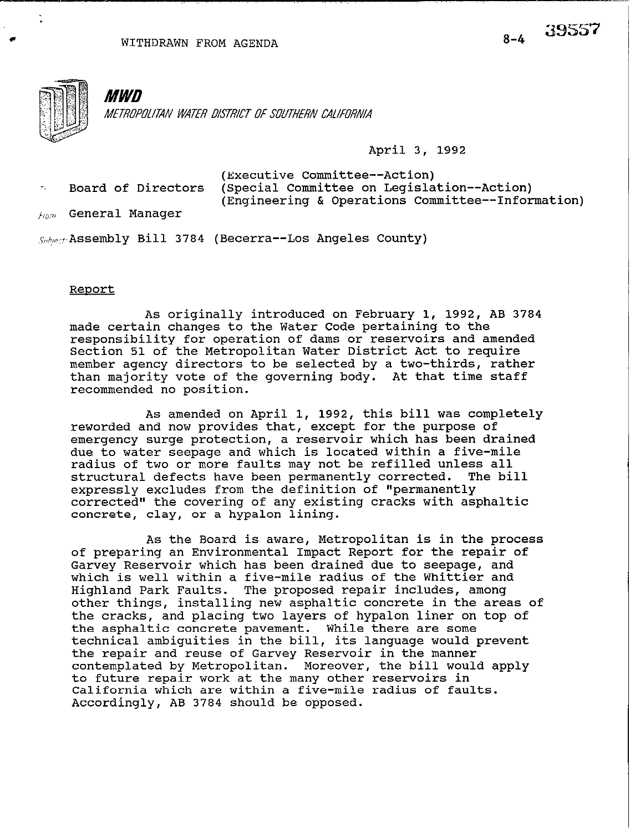

MWD *MEJROPO~ITAN WATER DISTRICT OF SOffTHERN CAlfFORNlA* 

**April 3, 1992** 

| (Engineering & Operations Committee--Information)<br>General Manager<br>Finm |  |
|------------------------------------------------------------------------------|--|

Subject **Assembly Bill 3784 (Becerra--Los Angeles County)** 

### Report

**As originally introduced on February 1, 1992, AB 3784 made certain changes to the Water Code pertaining to the responsibility for operation of dams or reservoirs and amended Section 51 of the Metropolitan Water District Act to require member agency directors to be selected by a two-thirds, rather than majority vote of the governing body. At that time staff recommended no position.** 

**As amended on April 1, 1992, this bill was completely reworded and now provides that, except for the purpose of emergency surge protection, a reservoir which has been drained due to water seepage and which is located within a five-mile radius of two or more faults may not be refilled unless all structural defects have been permanently corrected. The bill expressly excludes from the definition of "permanently corrected" the covering of any existing cracks with asphaltic concrete, clay, or a hypalon lining.** 

**As the Board is aware, Metropolitan is in the process of preparing an Environmental Impact Report for the repair of Garvey Reservoir which has been drained due to seepage, and which is well within a five-mile radius of the Whittier and Highland Park Faults. The proposed repair includes, among other things, installing new asphaltic concrete in the areas of the cracks, and placing two layers of hypalon liner on top of the asphaltic concrete pavement. While there are some technical ambiguities in the bill, its language would prevent the repair and reuse of Garvey Reservoir in the manner contemplated by Metropolitan. Moreover, the bill would apply to future repair work at the many other reservoirs in California which are within a five-mile radius of faults. Accordingly, AB 3784 should be opposed.**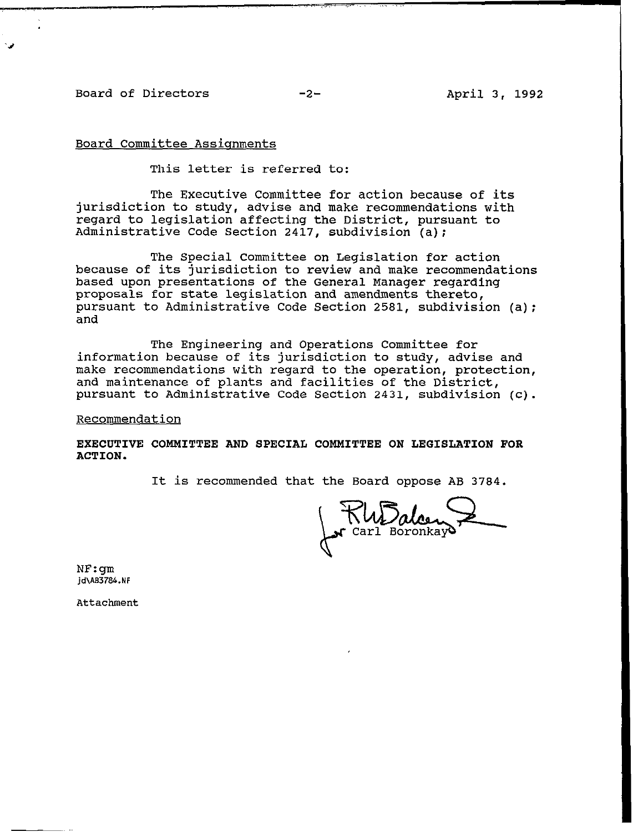## Board of Directors -2- April 3, 1992

## Board Committee Assignments

This letter is referred to:

The Executive Committee for action because of its jurisdiction to study, advise and make recommendations with regard to legislation affecting tne District, pursuant to Administrative Code Section 2417, subdivision (a);

The Special Committee on Legislation for action because of its jurisdiction to review and make recommendations based upon presentations of the General Manager regarding proposals for state legislation and amendments thereto, pursuant to Administrative Code Section 2581, subdivision (a): and

The Engineering and Operations Committee for information because of its jurisdiction to study, advise and make recommendations with regard to the operation, protection, and maintenance of plants and facilities of the District, pursuant to Administrative Code Section 2431, subdivision (c).

### Recommendation

EXECUTIVE COMMITTEE AND SPECIAL COMMITTEE ON LEGISLATION FOR ACTION.

It is recommended that the Board oppose AB 3784.

Malcen

NF:gm **jd\AB3784.NF** 

**Attachment**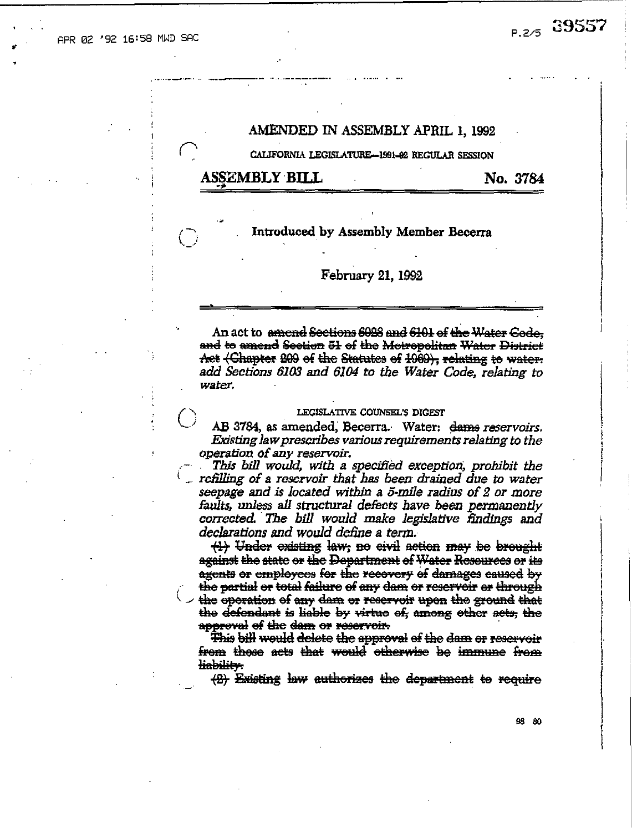# AMENDED IN ASSEMBLY APRIL 1, 1992

CALIFORNIA LEGISLATURE-1991-92 REGULAR SESSION

## <u>ASSEMBLY BILL</u>

 $(\ )$ 

No. 3784

Introduced by Assembly Member Becerra

## February 21, 1992

An act to amend Sections 6028 and 6101 of the Water Gode. and to amend Section 51 of the Metropolitan Water District Act (Chapter 209 of the Statutes of 1969), relating to water. add Sections 6103 and 6104 to the Water Code, relating to water.

## LEGISLATIVE COUNSEL'S DIGEST

AB 3784, as amended, Becerra. Water: dame reservoirs. Existing law prescribes various requirements relating to the operation of any reservoir.

This bill would, with a specified exception, prohibit the refilling of a reservoir that has been drained due to water seepage and is located within a 5-mile radius of 2 or more faults, unless all structural defects have been permanently corrected. The bill would make legislative findings and declarations and would define a term.

 $\langle \cdot \rangle$  Under existing law, no civil action may be brought against the state or the Department of Water Resources or its agents or employees for the recovery of damages caused by the partial or total failure of any dam or reservoir or through  $\sim$  the operation of any dam or reservoir upon the ground that the defendant is liable by virtue of, among other acts, the approval of the dam or reservoir.

This bill would delete the approval of the dam or reservoir from those acts that would otherwise be immune from liability.

 $\left\langle \theta \right\rangle$  Existing law authorizes the department to require

98 80